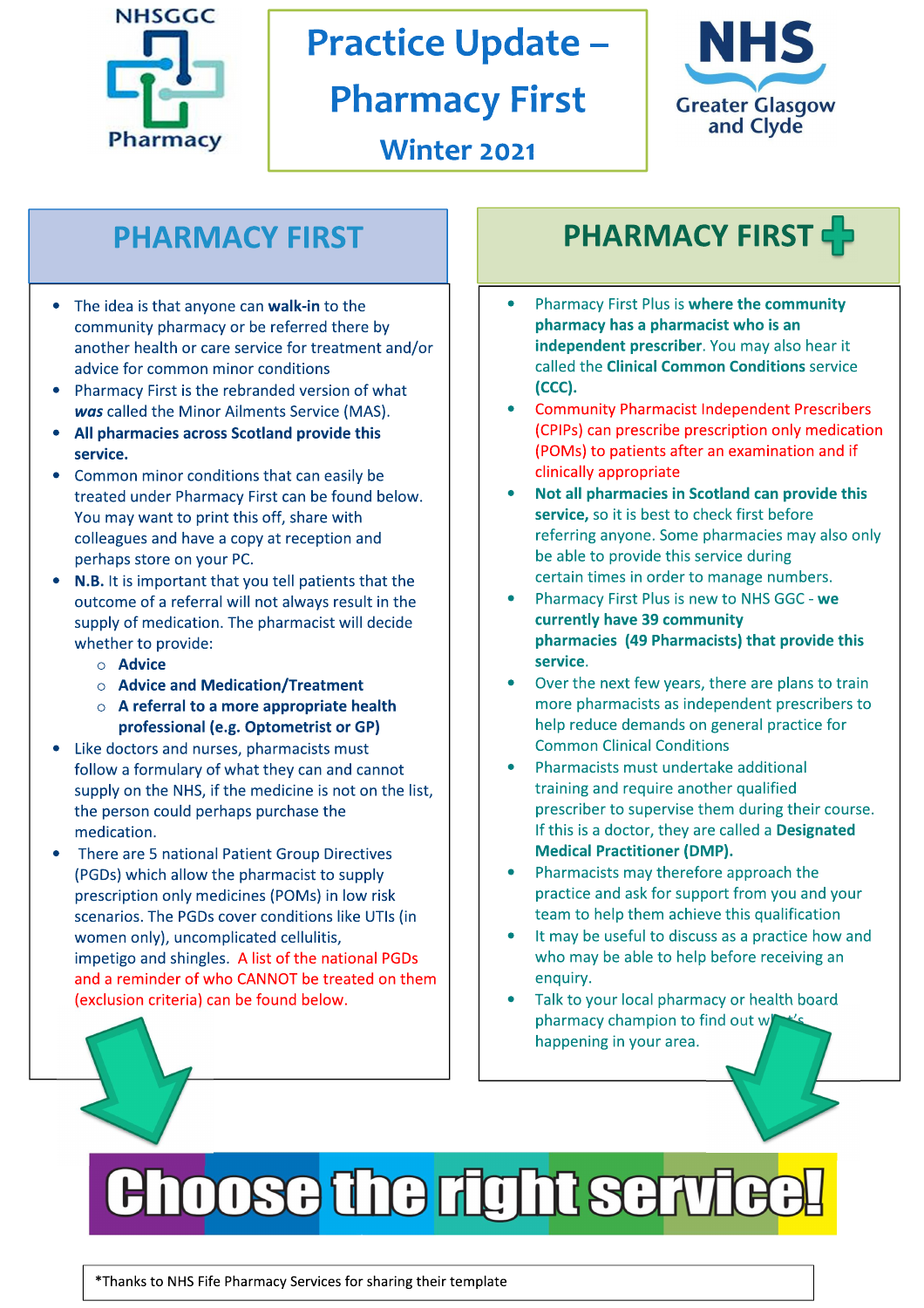

# **Practice Update -**

# **Pharmacy First**



Winter 2021

### **PHARMACY FIRST**

- The idea is that anyone can walk-in to the community pharmacy or be referred there by another health or care service for treatment and/or advice for common minor conditions
- Pharmacy First is the rebranded version of what was called the Minor Ailments Service (MAS).
- All pharmacies across Scotland provide this service.
- Common minor conditions that can easily be treated under Pharmacy First can be found below. You may want to print this off, share with colleagues and have a copy at reception and perhaps store on your PC.
- N.B. It is important that you tell patients that the outcome of a referral will not always result in the supply of medication. The pharmacist will decide whether to provide:
	- $\circ$  Advice
	- $\circ$  Advice and Medication/Treatment
	- $\circ$  A referral to a more appropriate health professional (e.g. Optometrist or GP)
- Like doctors and nurses, pharmacists must follow a formulary of what they can and cannot supply on the NHS, if the medicine is not on the list, the person could perhaps purchase the medication.
- There are 5 national Patient Group Directives (PGDs) which allow the pharmacist to supply prescription only medicines (POMs) in low risk scenarios. The PGDs cover conditions like UTIs (in women only), uncomplicated cellulitis, impetigo and shingles. A list of the national PGDs and a reminder of who CANNOT be treated on them (exclusion criteria) can be found below.

# **PHARMACY FIRST**

- Pharmacy First Plus is where the community pharmacy has a pharmacist who is an independent prescriber. You may also hear it called the **Clinical Common Conditions** service (CCC).
- **Community Pharmacist Independent Prescribers** (CPIPs) can prescribe prescription only medication (POMs) to patients after an examination and if clinically appropriate
- Not all pharmacies in Scotland can provide this service, so it is best to check first before referring anyone. Some pharmacies may also only be able to provide this service during certain times in order to manage numbers.
- Pharmacy First Plus is new to NHS GGC we currently have 39 community pharmacies (49 Pharmacists) that provide this service.
- Over the next few years, there are plans to train more pharmacists as independent prescribers to help reduce demands on general practice for **Common Clinical Conditions**
- Pharmacists must undertake additional training and require another qualified prescriber to supervise them during their course. If this is a doctor, they are called a Designated **Medical Practitioner (DMP).**
- Pharmacists may therefore approach the practice and ask for support from you and your team to help them achieve this qualification
- It may be useful to discuss as a practice how and who may be able to help before receiving an enquiry.
- Talk to your local pharmacy or health board pharmacy champion to find out w happening in your area.

# **Choose the right service**

\*Thanks to NHS Fife Pharmacy Services for sharing their template